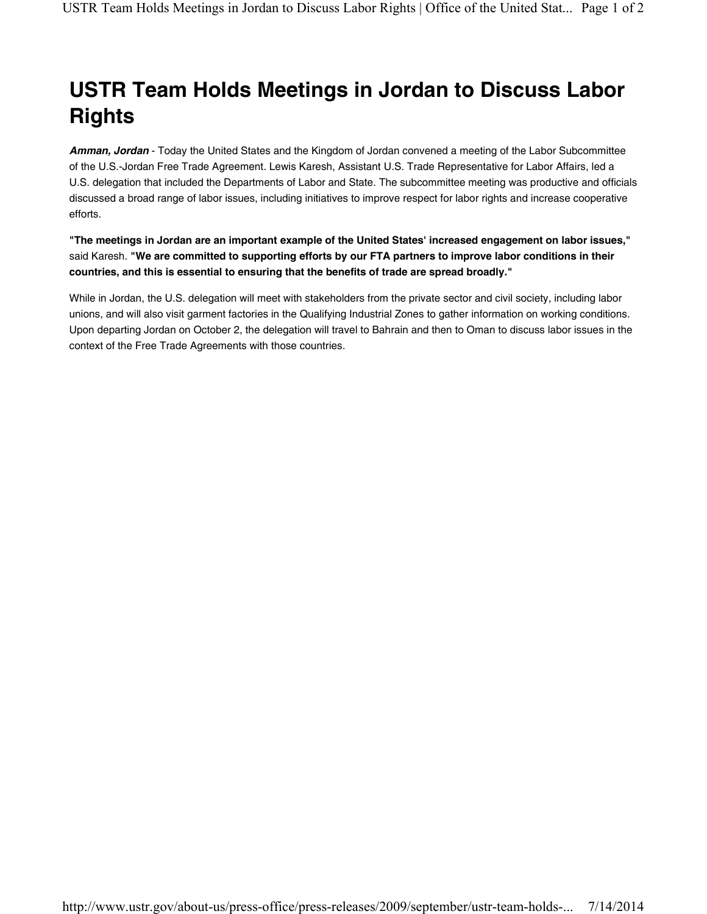## USTR Team Holds Meetings in Jordan to Discuss Labor **Rights**

Amman, Jordan - Today the United States and the Kingdom of Jordan convened a meeting of the Labor Subcommittee of the U.S.-Jordan Free Trade Agreement. Lewis Karesh, Assistant U.S. Trade Representative for Labor Affairs, led a U.S. delegation that included the Departments of Labor and State. The subcommittee meeting was productive and officials discussed a broad range of labor issues, including initiatives to improve respect for labor rights and increase cooperative efforts.

"The meetings in Jordan are an important example of the United States' increased engagement on labor issues," said Karesh. "We are committed to supporting efforts by our FTA partners to improve labor conditions in their countries, and this is essential to ensuring that the benefits of trade are spread broadly."

While in Jordan, the U.S. delegation will meet with stakeholders from the private sector and civil society, including labor unions, and will also visit garment factories in the Qualifying Industrial Zones to gather information on working conditions. Upon departing Jordan on October 2, the delegation will travel to Bahrain and then to Oman to discuss labor issues in the context of the Free Trade Agreements with those countries.